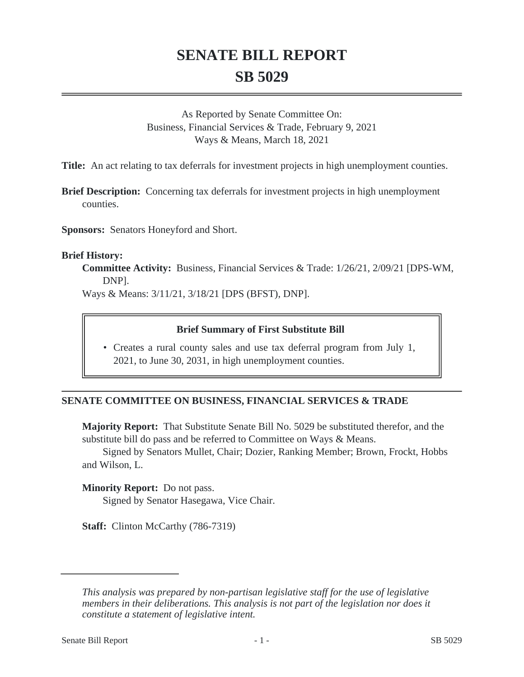# **SENATE BILL REPORT SB 5029**

As Reported by Senate Committee On: Business, Financial Services & Trade, February 9, 2021 Ways & Means, March 18, 2021

**Title:** An act relating to tax deferrals for investment projects in high unemployment counties.

**Brief Description:** Concerning tax deferrals for investment projects in high unemployment counties.

**Sponsors:** Senators Honeyford and Short.

#### **Brief History:**

**Committee Activity:** Business, Financial Services & Trade: 1/26/21, 2/09/21 [DPS-WM, DNP].

Ways & Means: 3/11/21, 3/18/21 [DPS (BFST), DNP].

#### **Brief Summary of First Substitute Bill**

• Creates a rural county sales and use tax deferral program from July 1, 2021, to June 30, 2031, in high unemployment counties.

#### **SENATE COMMITTEE ON BUSINESS, FINANCIAL SERVICES & TRADE**

**Majority Report:** That Substitute Senate Bill No. 5029 be substituted therefor, and the substitute bill do pass and be referred to Committee on Ways & Means.

Signed by Senators Mullet, Chair; Dozier, Ranking Member; Brown, Frockt, Hobbs and Wilson, L.

**Minority Report:** Do not pass.

Signed by Senator Hasegawa, Vice Chair.

**Staff:** Clinton McCarthy (786-7319)

*This analysis was prepared by non-partisan legislative staff for the use of legislative members in their deliberations. This analysis is not part of the legislation nor does it constitute a statement of legislative intent.*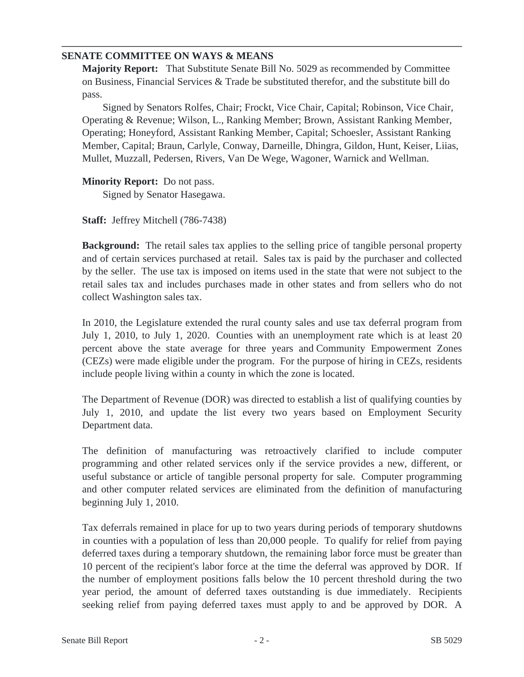### **SENATE COMMITTEE ON WAYS & MEANS**

**Majority Report:** That Substitute Senate Bill No. 5029 as recommended by Committee on Business, Financial Services & Trade be substituted therefor, and the substitute bill do pass.

Signed by Senators Rolfes, Chair; Frockt, Vice Chair, Capital; Robinson, Vice Chair, Operating & Revenue; Wilson, L., Ranking Member; Brown, Assistant Ranking Member, Operating; Honeyford, Assistant Ranking Member, Capital; Schoesler, Assistant Ranking Member, Capital; Braun, Carlyle, Conway, Darneille, Dhingra, Gildon, Hunt, Keiser, Liias, Mullet, Muzzall, Pedersen, Rivers, Van De Wege, Wagoner, Warnick and Wellman.

**Minority Report:** Do not pass. Signed by Senator Hasegawa.

**Staff:** Jeffrey Mitchell (786-7438)

**Background:** The retail sales tax applies to the selling price of tangible personal property and of certain services purchased at retail. Sales tax is paid by the purchaser and collected by the seller. The use tax is imposed on items used in the state that were not subject to the retail sales tax and includes purchases made in other states and from sellers who do not collect Washington sales tax.

In 2010, the Legislature extended the rural county sales and use tax deferral program from July 1, 2010, to July 1, 2020. Counties with an unemployment rate which is at least 20 percent above the state average for three years and Community Empowerment Zones (CEZs) were made eligible under the program. For the purpose of hiring in CEZs, residents include people living within a county in which the zone is located.

The Department of Revenue (DOR) was directed to establish a list of qualifying counties by July 1, 2010, and update the list every two years based on Employment Security Department data.

The definition of manufacturing was retroactively clarified to include computer programming and other related services only if the service provides a new, different, or useful substance or article of tangible personal property for sale. Computer programming and other computer related services are eliminated from the definition of manufacturing beginning July 1, 2010.

Tax deferrals remained in place for up to two years during periods of temporary shutdowns in counties with a population of less than 20,000 people. To qualify for relief from paying deferred taxes during a temporary shutdown, the remaining labor force must be greater than 10 percent of the recipient's labor force at the time the deferral was approved by DOR. If the number of employment positions falls below the 10 percent threshold during the two year period, the amount of deferred taxes outstanding is due immediately. Recipients seeking relief from paying deferred taxes must apply to and be approved by DOR. A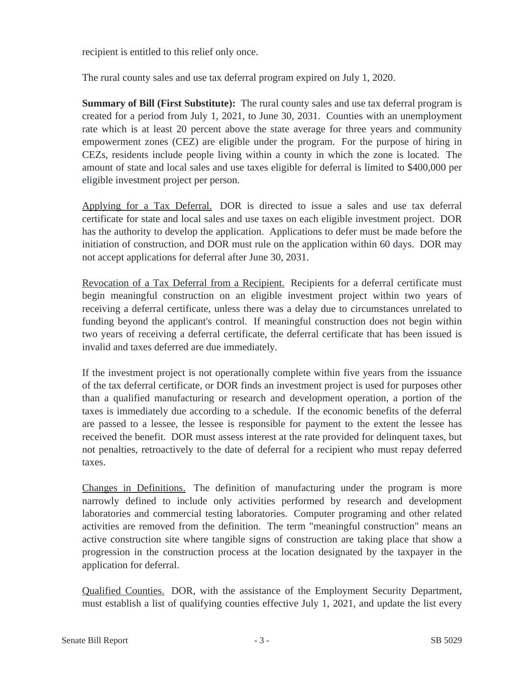recipient is entitled to this relief only once.

The rural county sales and use tax deferral program expired on July 1, 2020.

**Summary of Bill (First Substitute):** The rural county sales and use tax deferral program is created for a period from July 1, 2021, to June 30, 2031. Counties with an unemployment rate which is at least 20 percent above the state average for three years and community empowerment zones (CEZ) are eligible under the program. For the purpose of hiring in CEZs, residents include people living within a county in which the zone is located. The amount of state and local sales and use taxes eligible for deferral is limited to \$400,000 per eligible investment project per person.

Applying for a Tax Deferral. DOR is directed to issue a sales and use tax deferral certificate for state and local sales and use taxes on each eligible investment project. DOR has the authority to develop the application. Applications to defer must be made before the initiation of construction, and DOR must rule on the application within 60 days. DOR may not accept applications for deferral after June 30, 2031.

Revocation of a Tax Deferral from a Recipient. Recipients for a deferral certificate must begin meaningful construction on an eligible investment project within two years of receiving a deferral certificate, unless there was a delay due to circumstances unrelated to funding beyond the applicant's control. If meaningful construction does not begin within two years of receiving a deferral certificate, the deferral certificate that has been issued is invalid and taxes deferred are due immediately.

If the investment project is not operationally complete within five years from the issuance of the tax deferral certificate, or DOR finds an investment project is used for purposes other than a qualified manufacturing or research and development operation, a portion of the taxes is immediately due according to a schedule. If the economic benefits of the deferral are passed to a lessee, the lessee is responsible for payment to the extent the lessee has received the benefit. DOR must assess interest at the rate provided for delinquent taxes, but not penalties, retroactively to the date of deferral for a recipient who must repay deferred taxes.

Changes in Definitions. The definition of manufacturing under the program is more narrowly defined to include only activities performed by research and development laboratories and commercial testing laboratories. Computer programing and other related activities are removed from the definition. The term "meaningful construction" means an active construction site where tangible signs of construction are taking place that show a progression in the construction process at the location designated by the taxpayer in the application for deferral.

Qualified Counties. DOR, with the assistance of the Employment Security Department, must establish a list of qualifying counties effective July 1, 2021, and update the list every